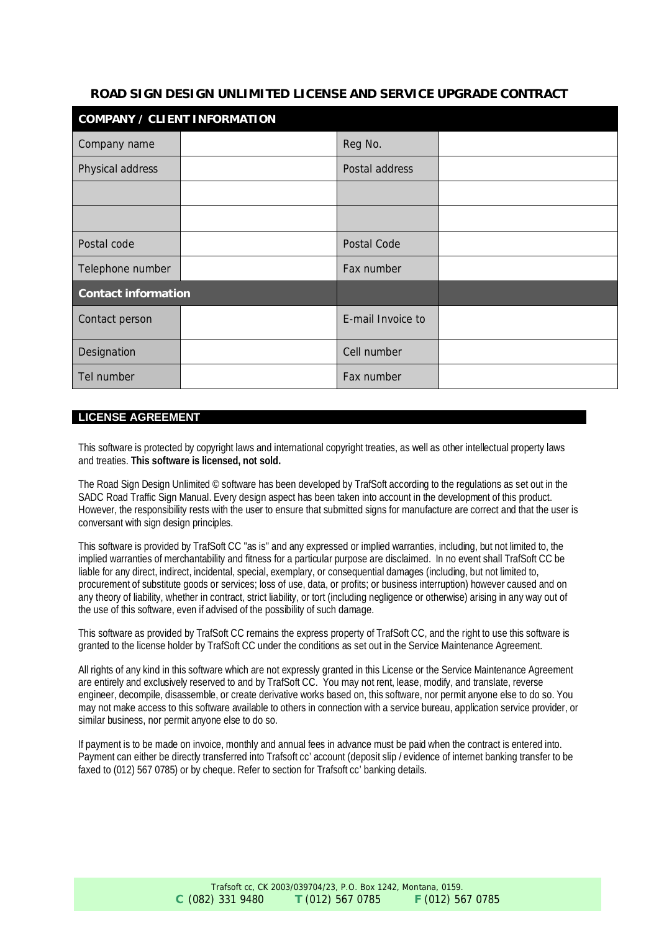# **ROAD SIGN DESIGN UNLIMITED LICENSE AND SERVICE UPGRADE CONTRACT**

| COMPANY / CLIENT INFORMATION |  |                   |  |  |
|------------------------------|--|-------------------|--|--|
| Company name                 |  | Reg No.           |  |  |
| Physical address             |  | Postal address    |  |  |
|                              |  |                   |  |  |
|                              |  |                   |  |  |
| Postal code                  |  | Postal Code       |  |  |
| Telephone number             |  | Fax number        |  |  |
| Contact information          |  |                   |  |  |
| Contact person               |  | E-mail Invoice to |  |  |
| Designation                  |  | Cell number       |  |  |
| Tel number                   |  | Fax number        |  |  |

## **LICENSE AGREEMENT**

This software is protected by copyright laws and international copyright treaties, as well as other intellectual property laws and treaties. **This software is licensed, not sold.**

The Road Sign Design Unlimited © software has been developed by TrafSoft according to the regulations as set out in the SADC Road Traffic Sign Manual. Every design aspect has been taken into account in the development of this product. However, the responsibility rests with the user to ensure that submitted signs for manufacture are correct and that the user is conversant with sign design principles.

This software is provided by TrafSoft CC "as is" and any expressed or implied warranties, including, but not limited to, the implied warranties of merchantability and fitness for a particular purpose are disclaimed. In no event shall TrafSoft CC be liable for any direct, indirect, incidental, special, exemplary, or consequential damages (including, but not limited to, procurement of substitute goods or services; loss of use, data, or profits; or business interruption) however caused and on any theory of liability, whether in contract, strict liability, or tort (including negligence or otherwise) arising in any way out of the use of this software, even if advised of the possibility of such damage.

This software as provided by TrafSoft CC remains the express property of TrafSoft CC, and the right to use this software is granted to the license holder by TrafSoft CC under the conditions as set out in the Service Maintenance Agreement.

All rights of any kind in this software which are not expressly granted in this License or the Service Maintenance Agreement are entirely and exclusively reserved to and by TrafSoft CC. You may not rent, lease, modify, and translate, reverse engineer, decompile, disassemble, or create derivative works based on, this software, nor permit anyone else to do so. You may not make access to this software available to others in connection with a service bureau, application service provider, or similar business, nor permit anyone else to do so.

If payment is to be made on invoice, monthly and annual fees in advance must be paid when the contract is entered into. Payment can either be directly transferred into Trafsoft cc' account (deposit slip / evidence of internet banking transfer to be faxed to (012) 567 0785) or by cheque. Refer to section for Trafsoft cc' banking details.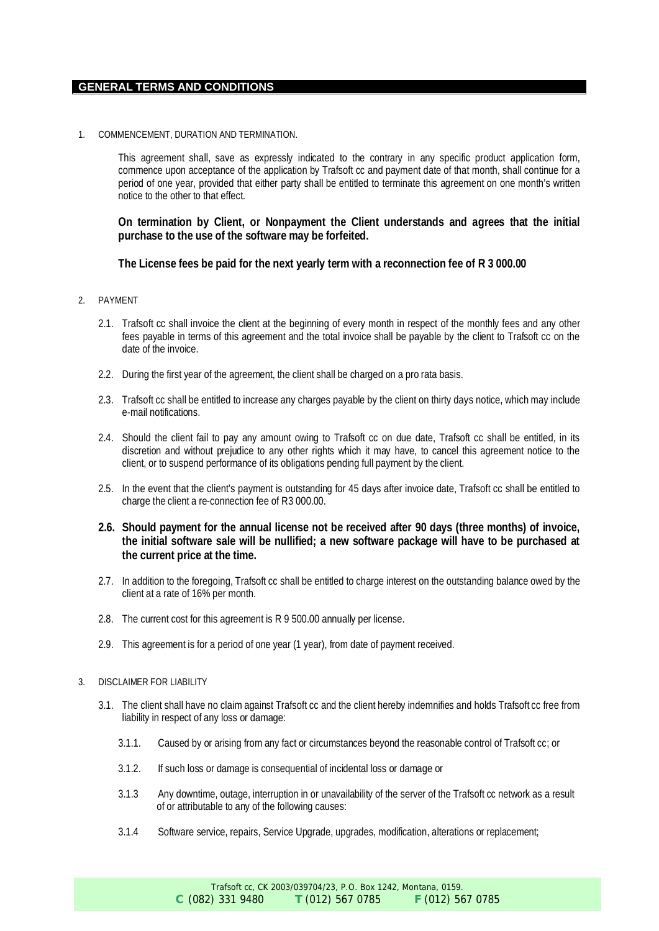#### **GENERAL TERMS AND CONDITIONS**

1. COMMENCEMENT, DURATION AND TERMINATION.

This agreement shall, save as expressly indicated to the contrary in any specific product application form, commence upon acceptance of the application by Trafsoft cc and payment date of that month, shall continue for a period of one year, provided that either party shall be entitled to terminate this agreement on one month's written notice to the other to that effect.

**On termination by Client, or Nonpayment the Client understands and agrees that the initial purchase to the use of the software may be forfeited.**

**The License fees be paid for the next yearly term with a reconnection fee of R 3 000.00**

- 2. PAYMENT
	- 2.1. Trafsoft cc shall invoice the client at the beginning of every month in respect of the monthly fees and any other fees payable in terms of this agreement and the total invoice shall be payable by the client to Trafsoft cc on the date of the invoice.
	- 2.2. During the first year of the agreement, the client shall be charged on a pro rata basis.
	- 2.3. Trafsoft cc shall be entitled to increase any charges payable by the client on thirty days notice, which may include e-mail notifications.
	- 2.4. Should the client fail to pay any amount owing to Trafsoft cc on due date, Trafsoft cc shall be entitled, in its discretion and without prejudice to any other rights which it may have, to cancel this agreement notice to the client, or to suspend performance of its obligations pending full payment by the client.
	- 2.5. In the event that the client's payment is outstanding for 45 days after invoice date, Trafsoft cc shall be entitled to charge the client a re-connection fee of R3 000.00.
	- **2.6. Should payment for the annual license not be received after 90 days (three months) of invoice, the initial software sale will be nullified; a new software package will have to be purchased at the current price at the time.**
	- 2.7. In addition to the foregoing, Trafsoft cc shall be entitled to charge interest on the outstanding balance owed by the client at a rate of 16% per month.
	- 2.8. The current cost for this agreement is R 9 500.00 annually per license.
	- 2.9. This agreement is for a period of one year (1 year), from date of payment received.
- 3. DISCLAIMER FOR LIABILITY
	- 3.1. The client shall have no claim against Trafsoft cc and the client hereby indemnifies and holds Trafsoft cc free from liability in respect of any loss or damage:
		- 3.1.1. Caused by or arising from any fact or circumstances beyond the reasonable control of Trafsoft cc; or
		- 3.1.2. If such loss or damage is consequential of incidental loss or damage or
		- 3.1.3 Any downtime, outage, interruption in or unavailability of the server of the Trafsoft cc network as a result of or attributable to any of the following causes:
		- 3.1.4 Software service, repairs, Service Upgrade, upgrades, modification, alterations or replacement;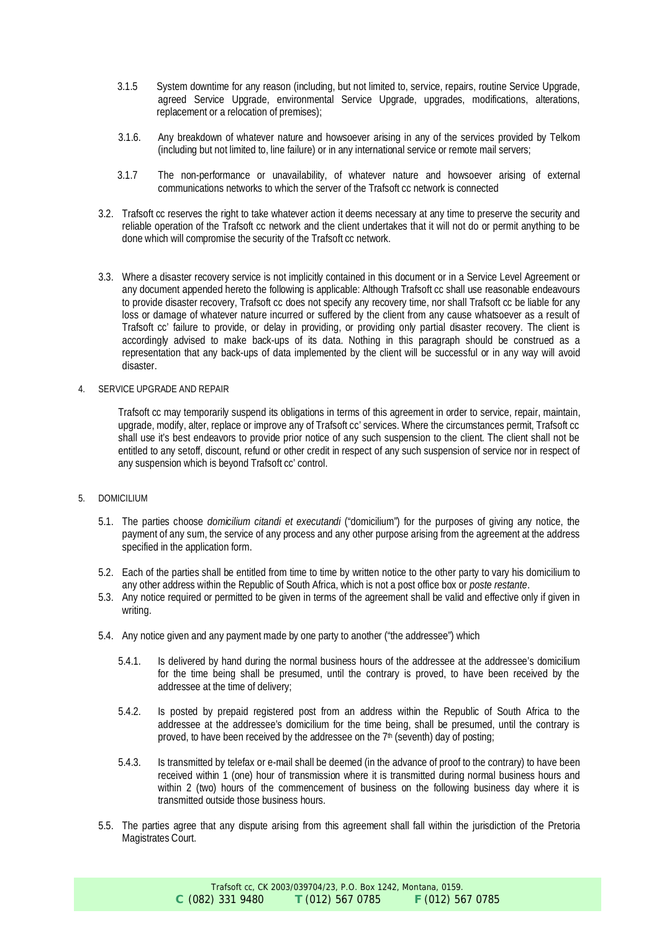- 3.1.5 System downtime for any reason (including, but not limited to, service, repairs, routine Service Upgrade, agreed Service Upgrade, environmental Service Upgrade, upgrades, modifications, alterations, replacement or a relocation of premises);
- 3.1.6. Any breakdown of whatever nature and howsoever arising in any of the services provided by Telkom (including but not limited to, line failure) or in any international service or remote mail servers;
- 3.1.7 The non-performance or unavailability, of whatever nature and howsoever arising of external communications networks to which the server of the Trafsoft cc network is connected
- 3.2. Trafsoft cc reserves the right to take whatever action it deems necessary at any time to preserve the security and reliable operation of the Trafsoft cc network and the client undertakes that it will not do or permit anything to be done which will compromise the security of the Trafsoft cc network.
- 3.3. Where a disaster recovery service is not implicitly contained in this document or in a Service Level Agreement or any document appended hereto the following is applicable: Although Trafsoft cc shall use reasonable endeavours to provide disaster recovery, Trafsoft cc does not specify any recovery time, nor shall Trafsoft cc be liable for any loss or damage of whatever nature incurred or suffered by the client from any cause whatsoever as a result of Trafsoft cc' failure to provide, or delay in providing, or providing only partial disaster recovery. The client is accordingly advised to make back-ups of its data. Nothing in this paragraph should be construed as a representation that any back-ups of data implemented by the client will be successful or in any way will avoid disaster.
- 4. SERVICE UPGRADE AND REPAIR

Trafsoft cc may temporarily suspend its obligations in terms of this agreement in order to service, repair, maintain, upgrade, modify, alter, replace or improve any of Trafsoft cc' services. Where the circumstances permit, Trafsoft cc shall use it's best endeavors to provide prior notice of any such suspension to the client. The client shall not be entitled to any setoff, discount, refund or other credit in respect of any such suspension of service nor in respect of any suspension which is beyond Trafsoft cc' control.

### 5. DOMICILIUM

- 5.1. The parties choose *domicilium citandi et executandi* ("domicilium") for the purposes of giving any notice, the payment of any sum, the service of any process and any other purpose arising from the agreement at the address specified in the application form.
- 5.2. Each of the parties shall be entitled from time to time by written notice to the other party to vary his domicilium to any other address within the Republic of South Africa, which is not a post office box or *poste restante*.
- 5.3. Any notice required or permitted to be given in terms of the agreement shall be valid and effective only if given in writing.
- 5.4. Any notice given and any payment made by one party to another ("the addressee") which
	- 5.4.1. Is delivered by hand during the normal business hours of the addressee at the addressee's domicilium for the time being shall be presumed, until the contrary is proved, to have been received by the addressee at the time of delivery;
	- 5.4.2. Is posted by prepaid registered post from an address within the Republic of South Africa to the addressee at the addressee's domicilium for the time being, shall be presumed, until the contrary is proved, to have been received by the addressee on the 7<sup>th</sup> (seventh) day of posting;
	- 5.4.3. Is transmitted by telefax or e-mail shall be deemed (in the advance of proof to the contrary) to have been received within 1 (one) hour of transmission where it is transmitted during normal business hours and within 2 (two) hours of the commencement of business on the following business day where it is transmitted outside those business hours.
- 5.5. The parties agree that any dispute arising from this agreement shall fall within the jurisdiction of the Pretoria Magistrates Court.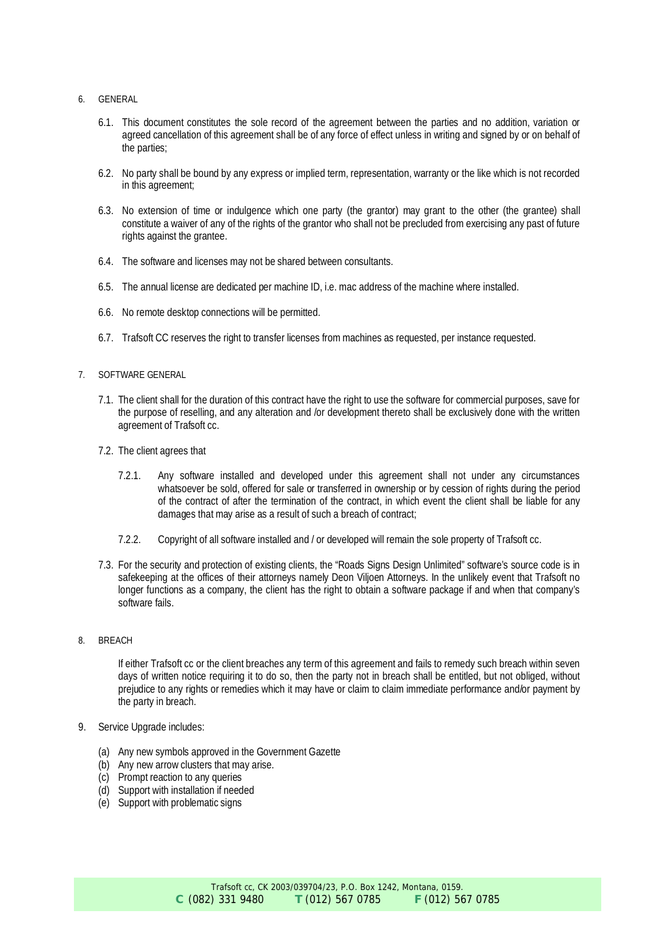- 6. GENERAL
	- 6.1. This document constitutes the sole record of the agreement between the parties and no addition, variation or agreed cancellation of this agreement shall be of any force of effect unless in writing and signed by or on behalf of the parties;
	- 6.2. No party shall be bound by any express or implied term, representation, warranty or the like which is not recorded in this agreement;
	- 6.3. No extension of time or indulgence which one party (the grantor) may grant to the other (the grantee) shall constitute a waiver of any of the rights of the grantor who shall not be precluded from exercising any past of future rights against the grantee.
	- 6.4. The software and licenses may not be shared between consultants.
	- 6.5. The annual license are dedicated per machine ID, i.e. mac address of the machine where installed.
	- 6.6. No remote desktop connections will be permitted.
	- 6.7. Trafsoft CC reserves the right to transfer licenses from machines as requested, per instance requested.
- 7. SOFTWARE GENERAL
	- 7.1. The client shall for the duration of this contract have the right to use the software for commercial purposes, save for the purpose of reselling, and any alteration and /or development thereto shall be exclusively done with the written agreement of Trafsoft cc.
	- 7.2. The client agrees that
		- 7.2.1. Any software installed and developed under this agreement shall not under any circumstances whatsoever be sold, offered for sale or transferred in ownership or by cession of rights during the period of the contract of after the termination of the contract, in which event the client shall be liable for any damages that may arise as a result of such a breach of contract;
		- 7.2.2. Copyright of all software installed and / or developed will remain the sole property of Trafsoft cc.
	- 7.3. For the security and protection of existing clients, the "Roads Signs Design Unlimited" software's source code is in safekeeping at the offices of their attorneys namely Deon Viljoen Attorneys. In the unlikely event that Trafsoft no longer functions as a company, the client has the right to obtain a software package if and when that company's software fails.
- 8. BREACH

If either Trafsoft cc or the client breaches any term of this agreement and fails to remedy such breach within seven days of written notice requiring it to do so, then the party not in breach shall be entitled, but not obliged, without prejudice to any rights or remedies which it may have or claim to claim immediate performance and/or payment by the party in breach.

- 9. Service Upgrade includes:
	- (a) Any new symbols approved in the Government Gazette
	- (b) Any new arrow clusters that may arise.
	- (c) Prompt reaction to any queries
	- (d) Support with installation if needed
	- (e) Support with problematic signs